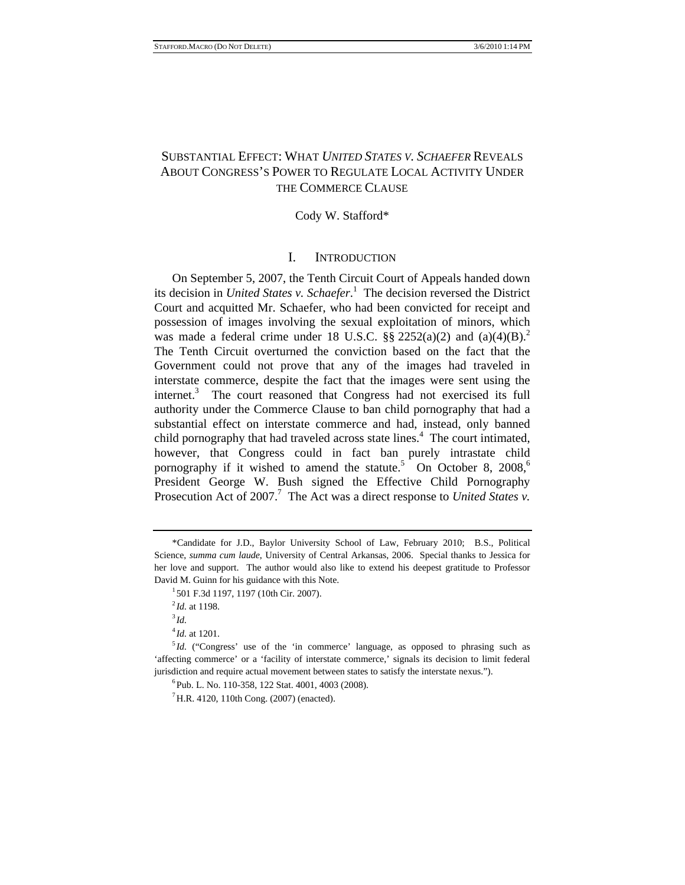# SUBSTANTIAL EFFECT: WHAT *UNITED STATES V. SCHAEFER* REVEALS ABOUT CONGRESS'S POWER TO REGULATE LOCAL ACTIVITY UNDER THE COMMERCE CLAUSE

### Cody W. Stafford\*

## I. INTRODUCTION

On September 5, 2007, the Tenth Circuit Court of Appeals handed down its decision in *United States v. Schaefer*. 1 The decision reversed the District Court and acquitted Mr. Schaefer, who had been convicted for receipt and possession of images involving the sexual exploitation of minors, which was made a federal crime under 18 U.S.C.  $\S$ § 2252(a)(2) and (a)(4)(B).<sup>2</sup> The Tenth Circuit overturned the conviction based on the fact that the Government could not prove that any of the images had traveled in interstate commerce, despite the fact that the images were sent using the internet.<sup>3</sup> The court reasoned that Congress had not exercised its full authority under the Commerce Clause to ban child pornography that had a substantial effect on interstate commerce and had, instead, only banned child pornography that had traveled across state lines.<sup>4</sup> The court intimated, however, that Congress could in fact ban purely intrastate child pornography if it wished to amend the statute.<sup>5</sup> On October 8, 2008,<sup>6</sup> President George W. Bush signed the Effective Child Pornography Prosecution Act of 2007.<sup>7</sup> The Act was a direct response to *United States v*.

<sup>4</sup>*Id.* at 1201.

<sup>\*</sup>Candidate for J.D., Baylor University School of Law, February 2010; B.S., Political Science, *summa cum laude*, University of Central Arkansas, 2006. Special thanks to Jessica for her love and support. The author would also like to extend his deepest gratitude to Professor David M. Guinn for his guidance with this Note.

 $1$  501 F.3d 1197, 1197 (10th Cir. 2007).

 $^{2}$ *Id.* at 1198.

 $^{3}$ *Id.* 

<sup>&</sup>lt;sup>5</sup>Id. ("Congress' use of the 'in commerce' language, as opposed to phrasing such as 'affecting commerce' or a 'facility of interstate commerce,' signals its decision to limit federal jurisdiction and require actual movement between states to satisfy the interstate nexus.").

 ${}^{6}$ Pub. L. No. 110-358, 122 Stat. 4001, 4003 (2008).

 ${}^{7}$ H.R. 4120, 110th Cong. (2007) (enacted).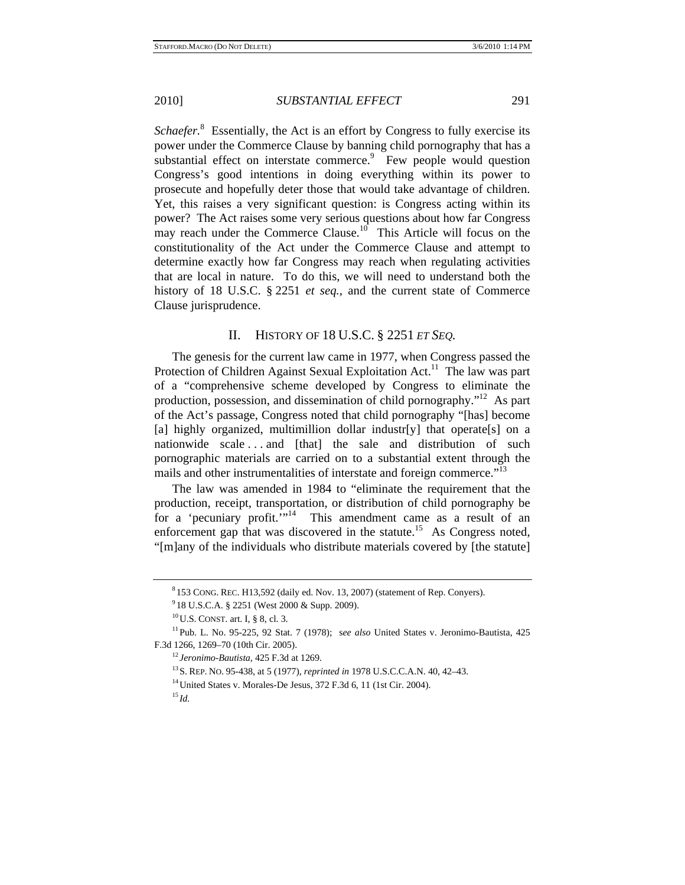Schaefer.<sup>8</sup> Essentially, the Act is an effort by Congress to fully exercise its power under the Commerce Clause by banning child pornography that has a substantial effect on interstate commerce. $9$  Few people would question Congress's good intentions in doing everything within its power to prosecute and hopefully deter those that would take advantage of children. Yet, this raises a very significant question: is Congress acting within its power? The Act raises some very serious questions about how far Congress may reach under the Commerce Clause.<sup>10</sup> This Article will focus on the constitutionality of the Act under the Commerce Clause and attempt to determine exactly how far Congress may reach when regulating activities that are local in nature. To do this, we will need to understand both the history of 18 U.S.C. § 2251 *et seq.*, and the current state of Commerce Clause jurisprudence.

## II. HISTORY OF 18 U.S.C. § 2251 *ET SEQ.*

The genesis for the current law came in 1977, when Congress passed the Protection of Children Against Sexual Exploitation Act.<sup>11</sup> The law was part of a "comprehensive scheme developed by Congress to eliminate the production, possession, and dissemination of child pornography."12 As part of the Act's passage, Congress noted that child pornography "[has] become [a] highly organized, multimillion dollar industr[y] that operate[s] on a nationwide scale ... and [that] the sale and distribution of such pornographic materials are carried on to a substantial extent through the mails and other instrumentalities of interstate and foreign commerce."<sup>13</sup>

The law was amended in 1984 to "eliminate the requirement that the production, receipt, transportation, or distribution of child pornography be for a 'pecuniary profit."<sup>14</sup> This amendment came as a result of an enforcement gap that was discovered in the statute.<sup>15</sup> As Congress noted, "[m]any of the individuals who distribute materials covered by [the statute]

 $^{8}$ 153 CONG. REC. H13,592 (daily ed. Nov. 13, 2007) (statement of Rep. Conyers).

<sup>&</sup>lt;sup>9</sup> 18 U.S.C.A. § 2251 (West 2000 & Supp. 2009).

<sup>&</sup>lt;sup>10</sup>U.S. CONST. art. I, § 8, cl. 3.<br><sup>11</sup>Pub. L. No. 95-225, 92 Stat. 7 (1978); see also United States v. Jeronimo-Bautista, 425 F.3d 1266, 1269–70 (10th Cir. 2005).<br><sup>12</sup> Jeronimo-Bautista, 425 F.3d at 1269.<br><sup>13</sup> S. REP. NO. 95-438, at 5 (1977), *reprinted in* 1978 U.S.C.C.A.N. 40, 42–43.<br><sup>14</sup> United States v. Morales-De Jesus, 372 F.3d 6, 11 (1st C

<sup>15</sup> *Id.*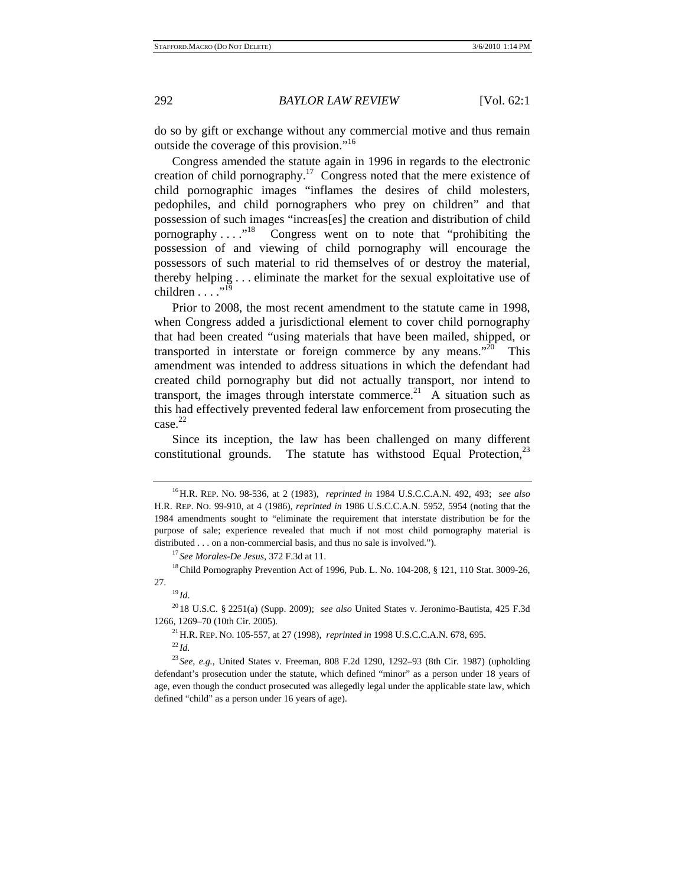do so by gift or exchange without any commercial motive and thus remain outside the coverage of this provision."16

Congress amended the statute again in 1996 in regards to the electronic creation of child pornography.<sup>17</sup> Congress noted that the mere existence of child pornographic images "inflames the desires of child molesters, pedophiles, and child pornographers who prey on children" and that possession of such images "increas[es] the creation and distribution of child pornography . . . .<sup>"18</sup> Congress went on to note that "prohibiting the possession of and viewing of child pornography will encourage the possessors of such material to rid themselves of or destroy the material, thereby helping . . . eliminate the market for the sexual exploitative use of children  $\ldots$  ...<sup>19</sup>

Prior to 2008, the most recent amendment to the statute came in 1998, when Congress added a jurisdictional element to cover child pornography that had been created "using materials that have been mailed, shipped, or transported in interstate or foreign commerce by any means." $20$  This amendment was intended to address situations in which the defendant had created child pornography but did not actually transport, nor intend to transport, the images through interstate commerce.<sup>21</sup> A situation such as this had effectively prevented federal law enforcement from prosecuting the case.<sup>22</sup>

Since its inception, the law has been challenged on many different constitutional grounds. The statute has withstood Equal Protection,  $2<sup>3</sup>$ 

<sup>16</sup>H.R. REP. NO. 98-536, at 2 (1983), *reprinted in* 1984 U.S.C.C.A.N. 492, 493; *see also* H.R. REP. NO. 99-910, at 4 (1986), *reprinted in* 1986 U.S.C.C.A.N. 5952, 5954 (noting that the 1984 amendments sought to "eliminate the requirement that interstate distribution be for the purpose of sale; experience revealed that much if not most child pornography material is distributed . . . on a non-commercial basis, and thus no sale is involved.").<br><sup>17</sup> *See Morales-De Jesus*, 372 F.3d at 11.<br><sup>18</sup>Child Pornography Prevention Act of 1996, Pub. L. No. 104-208, § 121, 110 Stat. 3009-26,

<sup>27. 19</sup> *Id*. 20 18 U.S.C. § 2251(a) (Supp. 2009); *see also* United States v. Jeronimo-Bautista, 425 F.3d

<sup>1266, 1269–70 (10</sup>th Cir. 2005). 21H.R. REP. NO. 105-557, at 27 (1998), *reprinted in* 1998 U.S.C.C.A.N. 678, 695. 22 *Id.*

<sup>23</sup> *See*, *e.g.*, United States v. Freeman, 808 F.2d 1290, 1292–93 (8th Cir. 1987) (upholding defendant's prosecution under the statute, which defined "minor" as a person under 18 years of age, even though the conduct prosecuted was allegedly legal under the applicable state law, which defined "child" as a person under 16 years of age).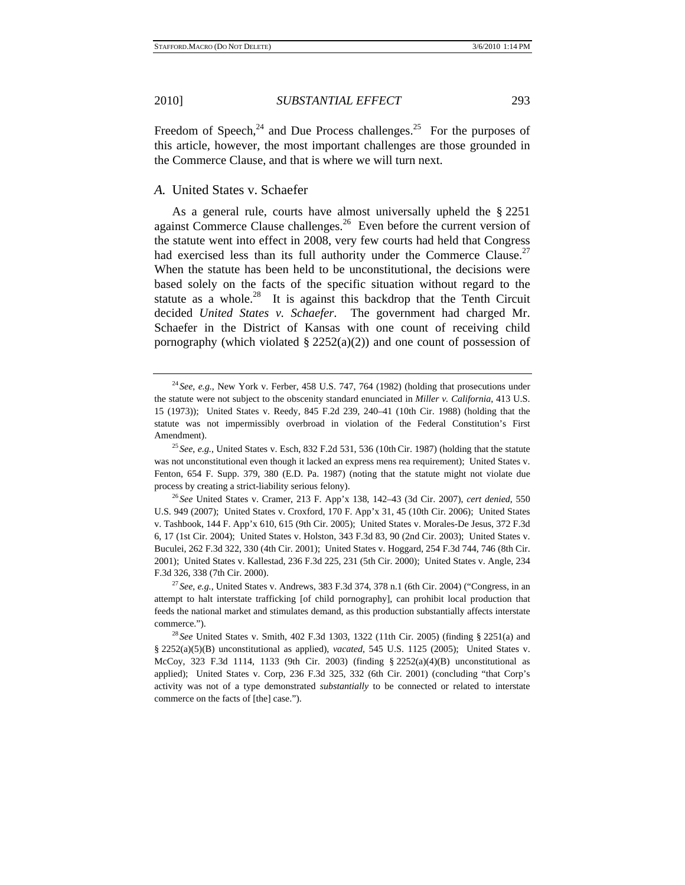the Commerce Clause, and that is where we will turn next.

Freedom of Speech, $^{24}$  and Due Process challenges.<sup>25</sup> For the purposes of this article, however, the most important challenges are those grounded in

#### *A.* United States v. Schaefer

As a general rule, courts have almost universally upheld the § 2251 against Commerce Clause challenges. $^{26}$  Even before the current version of the statute went into effect in 2008, very few courts had held that Congress had exercised less than its full authority under the Commerce Clause.<sup>27</sup> When the statute has been held to be unconstitutional, the decisions were based solely on the facts of the specific situation without regard to the statute as a whole. $28$  It is against this backdrop that the Tenth Circuit decided *United States v. Schaefer*. The government had charged Mr. Schaefer in the District of Kansas with one count of receiving child pornography (which violated  $\S 2252(a)(2)$ ) and one count of possession of

<sup>24</sup> *See*, *e.g.*, New York v. Ferber, 458 U.S. 747, 764 (1982) (holding that prosecutions under the statute were not subject to the obscenity standard enunciated in *Miller v. California*, 413 U.S. 15 (1973)); United States v. Reedy, 845 F.2d 239, 240–41 (10th Cir. 1988) (holding that the statute was not impermissibly overbroad in violation of the Federal Constitution's First Amendment).<br><sup>25</sup> *See*, *e.g.*, United States v. Esch, 832 F.2d 531, 536 (10th Cir. 1987) (holding that the statute

was not unconstitutional even though it lacked an express mens rea requirement); United States v. Fenton, 654 F. Supp. 379, 380 (E.D. Pa. 1987) (noting that the statute might not violate due process by creating a strict-liability serious felony). 26 *See* United States v. Cramer, 213 F. App'x 138, 142–43 (3d Cir. 2007), *cert denied*, 550

U.S. 949 (2007); United States v. Croxford, 170 F. App'x 31, 45 (10th Cir. 2006); United States v. Tashbook, 144 F. App'x 610, 615 (9th Cir. 2005); United States v. Morales-De Jesus, 372 F.3d 6, 17 (1st Cir. 2004); United States v. Holston, 343 F.3d 83, 90 (2nd Cir. 2003); United States v. Buculei, 262 F.3d 322, 330 (4th Cir. 2001); United States v. Hoggard, 254 F.3d 744, 746 (8th Cir. 2001); United States v. Kallestad, 236 F.3d 225, 231 (5th Cir. 2000); United States v. Angle, 234 F.3d 326, 338 (7th Cir. 2000). 27 *See*, *e.g.*, United States v. Andrews, 383 F.3d 374, 378 n.1 (6th Cir. 2004) ("Congress, in an

attempt to halt interstate trafficking [of child pornography], can prohibit local production that feeds the national market and stimulates demand, as this production substantially affects interstate commerce."). 28 *See* United States v. Smith, 402 F.3d 1303, 1322 (11th Cir. 2005) (finding § 2251(a) and

<sup>§ 2252(</sup>a)(5)(B) unconstitutional as applied), *vacated*, 545 U.S. 1125 (2005); United States v. McCoy, 323 F.3d 1114, 1133 (9th Cir. 2003) (finding § 2252(a)(4)(B) unconstitutional as applied); United States v. Corp, 236 F.3d 325, 332 (6th Cir. 2001) (concluding "that Corp's activity was not of a type demonstrated *substantially* to be connected or related to interstate commerce on the facts of [the] case.").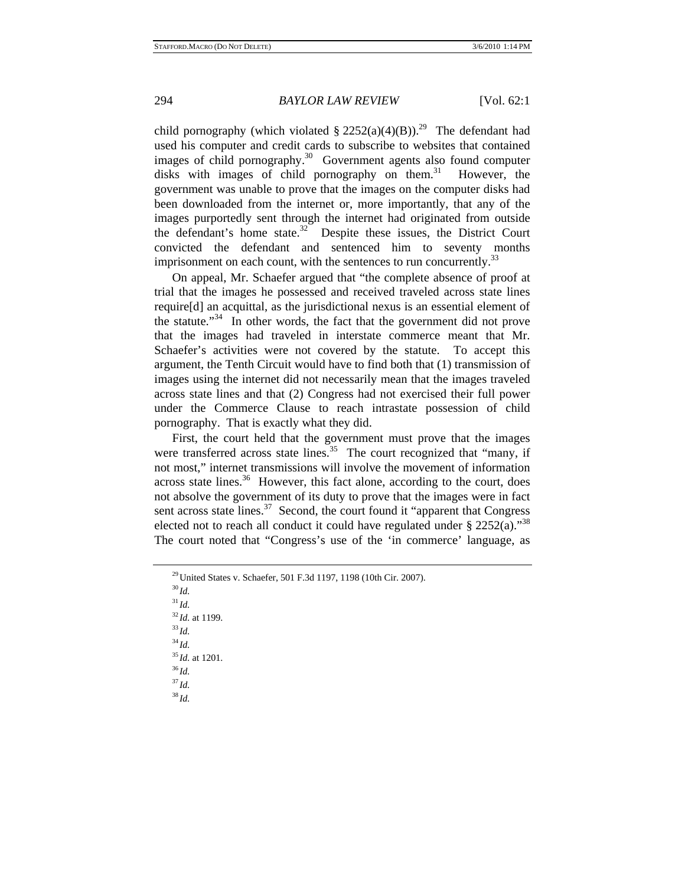child pornography (which violated  $\S 2252(a)(4)(B)$ ).<sup>29</sup> The defendant had used his computer and credit cards to subscribe to websites that contained images of child pornography.<sup>30</sup> Government agents also found computer disks with images of child pornography on them. $31$  However, the government was unable to prove that the images on the computer disks had been downloaded from the internet or, more importantly, that any of the images purportedly sent through the internet had originated from outside the defendant's home state.<sup>32</sup> Despite these issues, the District Court convicted the defendant and sentenced him to seventy months imprisonment on each count, with the sentences to run concurrently. $33$ 

On appeal, Mr. Schaefer argued that "the complete absence of proof at trial that the images he possessed and received traveled across state lines require[d] an acquittal, as the jurisdictional nexus is an essential element of the statute."34 In other words, the fact that the government did not prove that the images had traveled in interstate commerce meant that Mr. Schaefer's activities were not covered by the statute. To accept this argument, the Tenth Circuit would have to find both that (1) transmission of images using the internet did not necessarily mean that the images traveled across state lines and that (2) Congress had not exercised their full power under the Commerce Clause to reach intrastate possession of child pornography. That is exactly what they did.

First, the court held that the government must prove that the images were transferred across state lines.<sup>35</sup> The court recognized that "many, if not most," internet transmissions will involve the movement of information across state lines. $36$  However, this fact alone, according to the court, does not absolve the government of its duty to prove that the images were in fact sent across state lines.<sup>37</sup> Second, the court found it "apparent that Congress" elected not to reach all conduct it could have regulated under  $\S 2252(a)$ ."<sup>38</sup> The court noted that "Congress's use of the 'in commerce' language, as

<sup>31</sup> *Id.* <sup>32</sup> *Id.* at 1199. 33 *Id.* <sup>34</sup> *Id.* <sup>35</sup> *Id.* at 1201. 36 *Id.* <sup>37</sup> *Id.* <sup>38</sup> *Id.*

<sup>29</sup>United States v. Schaefer, 501 F.3d 1197, 1198 (10th Cir. 2007). 30 *Id.*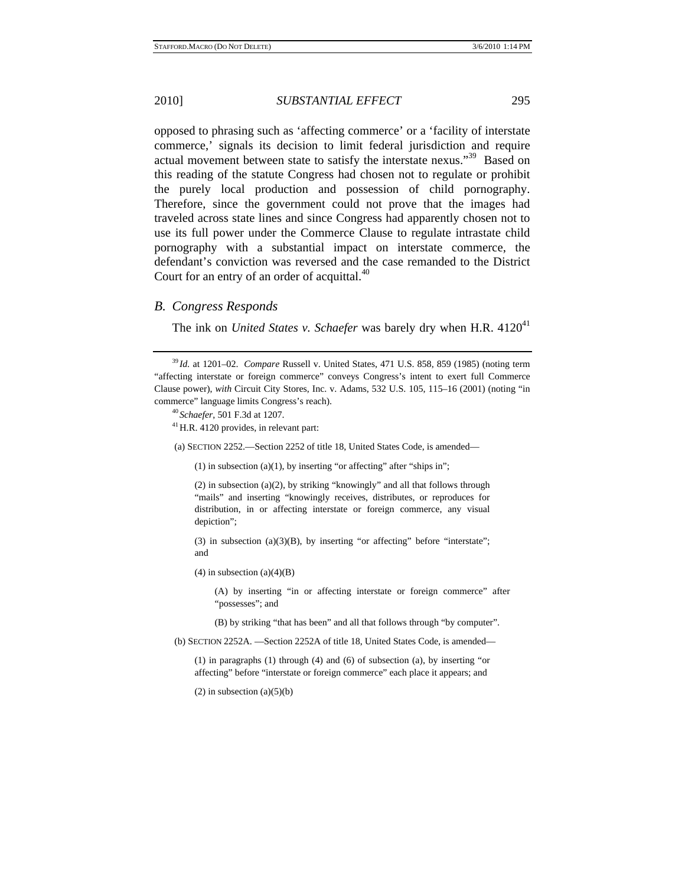opposed to phrasing such as 'affecting commerce' or a 'facility of interstate commerce,' signals its decision to limit federal jurisdiction and require actual movement between state to satisfy the interstate nexus."39 Based on this reading of the statute Congress had chosen not to regulate or prohibit the purely local production and possession of child pornography. Therefore, since the government could not prove that the images had traveled across state lines and since Congress had apparently chosen not to use its full power under the Commerce Clause to regulate intrastate child pornography with a substantial impact on interstate commerce, the defendant's conviction was reversed and the case remanded to the District Court for an entry of an order of acquittal.<sup>40</sup>

## *B. Congress Responds*

The ink on *United States v. Schaefer* was barely dry when H.R. 4120<sup>41</sup>

(a) SECTION 2252.—Section 2252 of title 18, United States Code, is amended—

(1) in subsection (a)(1), by inserting "or affecting" after "ships in";

(2) in subsection (a)(2), by striking "knowingly" and all that follows through "mails" and inserting "knowingly receives, distributes, or reproduces for distribution, in or affecting interstate or foreign commerce, any visual depiction";

(3) in subsection (a)(3)(B), by inserting "or affecting" before "interstate"; and

 $(4)$  in subsection  $(a)(4)(B)$ 

(A) by inserting "in or affecting interstate or foreign commerce" after "possesses"; and

(B) by striking "that has been" and all that follows through "by computer".

(b) SECTION 2252A. —Section 2252A of title 18, United States Code, is amended—

(1) in paragraphs (1) through (4) and (6) of subsection (a), by inserting "or affecting" before "interstate or foreign commerce" each place it appears; and

 $(2)$  in subsection  $(a)(5)(b)$ 

<sup>39</sup> *Id.* at 1201–02. *Compare* Russell v. United States, 471 U.S. 858, 859 (1985) (noting term "affecting interstate or foreign commerce" conveys Congress's intent to exert full Commerce Clause power), *with* Circuit City Stores, Inc. v. Adams, 532 U.S. 105, 115–16 (2001) (noting "in commerce" language limits Congress's reach).<br><sup>40</sup> *Schaefer*, 501 F.3d at 1207.<br><sup>41</sup> H.R. 4120 provides, in relevant part: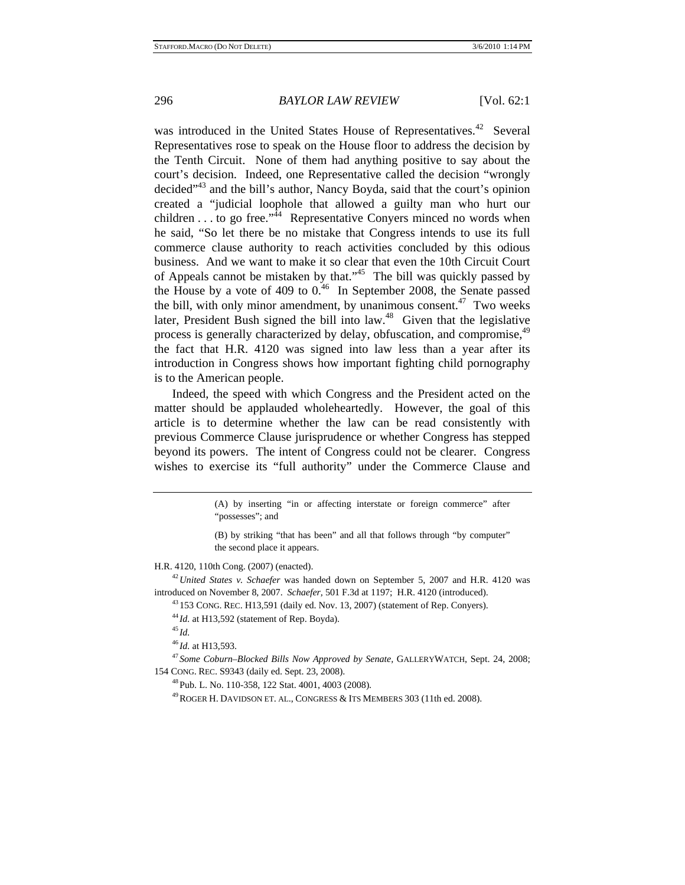was introduced in the United States House of Representatives.<sup>42</sup> Several Representatives rose to speak on the House floor to address the decision by the Tenth Circuit. None of them had anything positive to say about the court's decision. Indeed, one Representative called the decision "wrongly decided"<sup>43</sup> and the bill's author, Nancy Boyda, said that the court's opinion created a "judicial loophole that allowed a guilty man who hurt our children . . . to go free."<sup> $44$ </sup> Representative Conyers minced no words when he said, "So let there be no mistake that Congress intends to use its full commerce clause authority to reach activities concluded by this odious business. And we want to make it so clear that even the 10th Circuit Court of Appeals cannot be mistaken by that."<sup>45</sup> The bill was quickly passed by the House by a vote of 409 to  $0.46$  In September 2008, the Senate passed the bill, with only minor amendment, by unanimous consent.<sup>47</sup> Two weeks later, President Bush signed the bill into law. $48$  Given that the legislative process is generally characterized by delay, obfuscation, and compromise,<sup>49</sup> the fact that H.R. 4120 was signed into law less than a year after its introduction in Congress shows how important fighting child pornography is to the American people.

Indeed, the speed with which Congress and the President acted on the matter should be applauded wholeheartedly. However, the goal of this article is to determine whether the law can be read consistently with previous Commerce Clause jurisprudence or whether Congress has stepped beyond its powers. The intent of Congress could not be clearer. Congress wishes to exercise its "full authority" under the Commerce Clause and

H.R. 4120, 110th Cong. (2007) (enacted). 42*United States v. Schaefer* was handed down on September 5, 2007 and H.R. 4120 was

introduced on November 8, 2007. *Schaefer*, 501 F.3d at 1197; H.R. 4120 (introduced).<br><sup>43</sup> 153 CONG. REC. H13,591 (daily ed. Nov. 13, 2007) (statement of Rep. Conyers).<br><sup>44</sup>*Id.* at H13,592 (statement of Rep. Boyda).<br><sup>45</sup>

<sup>46</sup> *Id.* at H13,593.<br><sup>47</sup> *Some Coburn–Blocked Bills Now Approved by Senate, GALLERYWATCH, Sept. 24, 2008;* 154 CONG. REC. S9343 (daily ed. Sept. 23, 2008). 48Pub. L. No. 110-358, 122 Stat. 4001, 4003 (2008).

49ROGER H. DAVIDSON ET. AL., CONGRESS & ITS MEMBERS 303 (11th ed. 2008).

<sup>(</sup>A) by inserting "in or affecting interstate or foreign commerce" after "possesses"; and

<sup>(</sup>B) by striking "that has been" and all that follows through "by computer" the second place it appears.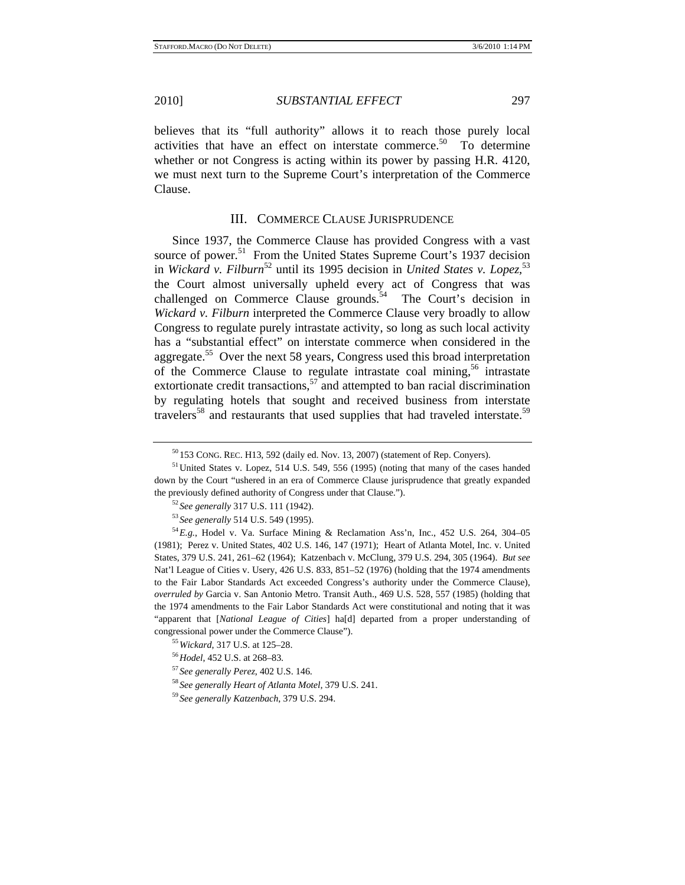believes that its "full authority" allows it to reach those purely local activities that have an effect on interstate commerce.<sup>50</sup> To determine whether or not Congress is acting within its power by passing H.R. 4120, we must next turn to the Supreme Court's interpretation of the Commerce Clause.

#### III. COMMERCE CLAUSE JURISPRUDENCE

Since 1937, the Commerce Clause has provided Congress with a vast source of power.<sup>51</sup> From the United States Supreme Court's 1937 decision in *Wickard v. Filburn*<sup>52</sup> until its 1995 decision in *United States v. Lopez*,<sup>53</sup> the Court almost universally upheld every act of Congress that was challenged on Commerce Clause grounds.<sup>54</sup> The Court's decision in *Wickard v. Filburn* interpreted the Commerce Clause very broadly to allow Congress to regulate purely intrastate activity, so long as such local activity has a "substantial effect" on interstate commerce when considered in the aggregate.<sup>55</sup> Over the next 58 years, Congress used this broad interpretation of the Commerce Clause to regulate intrastate coal mining,<sup>56</sup> intrastate extortionate credit transactions,  $57$  and attempted to ban racial discrimination by regulating hotels that sought and received business from interstate travelers<sup>58</sup> and restaurants that used supplies that had traveled interstate.<sup>59</sup>

 $50$  153 CONG. REC. H13, 592 (daily ed. Nov. 13, 2007) (statement of Rep. Conyers).<br> $51$  United States v. Lopez, 514 U.S. 549, 556 (1995) (noting that many of the cases handed

down by the Court "ushered in an era of Commerce Clause jurisprudence that greatly expanded the previously defined authority of Congress under that Clause.").<br>
<sup>52</sup> See generally 317 U.S. 111 (1942).<br>
<sup>53</sup> See generally 514 U.S. 549 (1995).<br>
<sup>54</sup> E.g., Hodel v. Va. Surface Mining & Reclamation Ass'n, Inc., 452 U

<sup>(1981);</sup> Perez v. United States, 402 U.S. 146, 147 (1971); Heart of Atlanta Motel, Inc. v. United States, 379 U.S. 241, 261–62 (1964); Katzenbach v. McClung, 379 U.S. 294, 305 (1964). *But see* Nat'l League of Cities v. Usery, 426 U.S. 833, 851–52 (1976) (holding that the 1974 amendments to the Fair Labor Standards Act exceeded Congress's authority under the Commerce Clause), *overruled by* Garcia v. San Antonio Metro. Transit Auth., 469 U.S. 528, 557 (1985) (holding that the 1974 amendments to the Fair Labor Standards Act were constitutional and noting that it was "apparent that [*National League of Cities*] ha[d] departed from a proper understanding of congressional power under the Commerce Clause").<br>  $^{55}$  Wickard, 317 U.S. at 125–28.<br>  $^{56}$  Hodel, 452 U.S. at 268–83.<br>  $^{57}$  See generally Perez, 402 U.S. 146.<br>  $^{58}$  See generally Heart of Atlanta Motel, 379 U.S. 24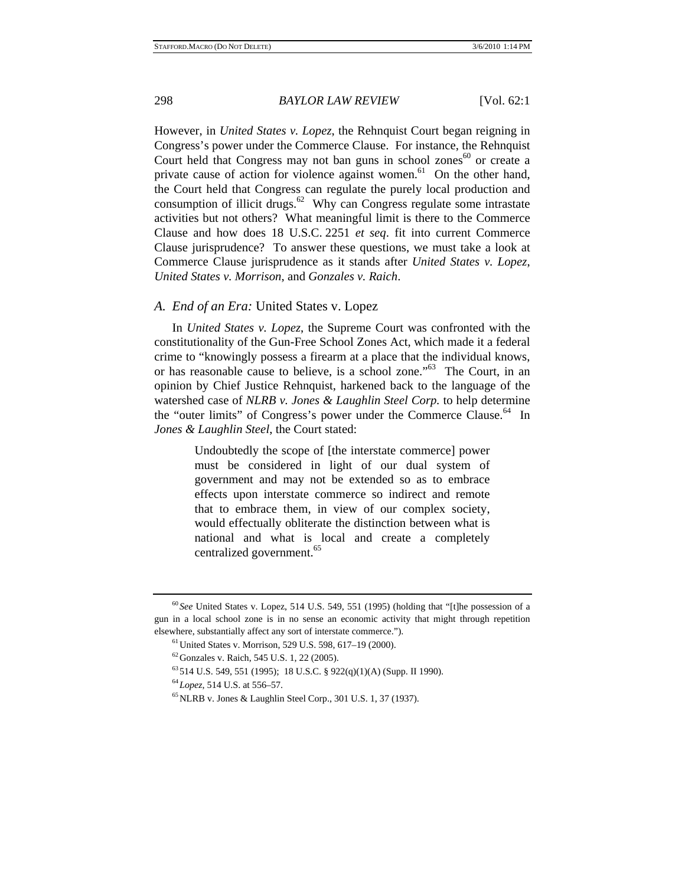However, in *United States v. Lopez*, the Rehnquist Court began reigning in Congress's power under the Commerce Clause. For instance, the Rehnquist Court held that Congress may not ban guns in school zones $60$  or create a private cause of action for violence against women.<sup>61</sup> On the other hand, the Court held that Congress can regulate the purely local production and consumption of illicit drugs.<sup>62</sup> Why can Congress regulate some intrastate activities but not others? What meaningful limit is there to the Commerce Clause and how does 18 U.S.C. 2251 *et seq*. fit into current Commerce Clause jurisprudence? To answer these questions, we must take a look at Commerce Clause jurisprudence as it stands after *United States v. Lopez*, *United States v. Morrison*, and *Gonzales v. Raich*.

## *A. End of an Era:* United States v. Lopez

In *United States v. Lopez*, the Supreme Court was confronted with the constitutionality of the Gun-Free School Zones Act, which made it a federal crime to "knowingly possess a firearm at a place that the individual knows, or has reasonable cause to believe, is a school zone."63 The Court, in an opinion by Chief Justice Rehnquist, harkened back to the language of the watershed case of *NLRB v. Jones & Laughlin Steel Corp.* to help determine the "outer limits" of Congress's power under the Commerce Clause.<sup>64</sup> In *Jones & Laughlin Steel*, the Court stated:

> Undoubtedly the scope of [the interstate commerce] power must be considered in light of our dual system of government and may not be extended so as to embrace effects upon interstate commerce so indirect and remote that to embrace them, in view of our complex society, would effectually obliterate the distinction between what is national and what is local and create a completely centralized government.<sup>65</sup>

<sup>60</sup> *See* United States v. Lopez, 514 U.S. 549, 551 (1995) (holding that "[t]he possession of a gun in a local school zone is in no sense an economic activity that might through repetition elsewhere, substantially affect any sort of interstate commerce.").<br><sup>61</sup>United States v. Morrison, 529 U.S. 598, 617–19 (2000).

 $62$  Gonzales v. Raich, 545 U.S. 1, 22 (2005).

 $^{63}$  514 U.S. 549, 551 (1995); 18 U.S.C. § 922(q)(1)(A) (Supp. II 1990).

<sup>&</sup>lt;sup>64</sup> Lopez, 514 U.S. at 556–57.<br><sup>65</sup> NLRB v. Jones & Laughlin Steel Corp., 301 U.S. 1, 37 (1937).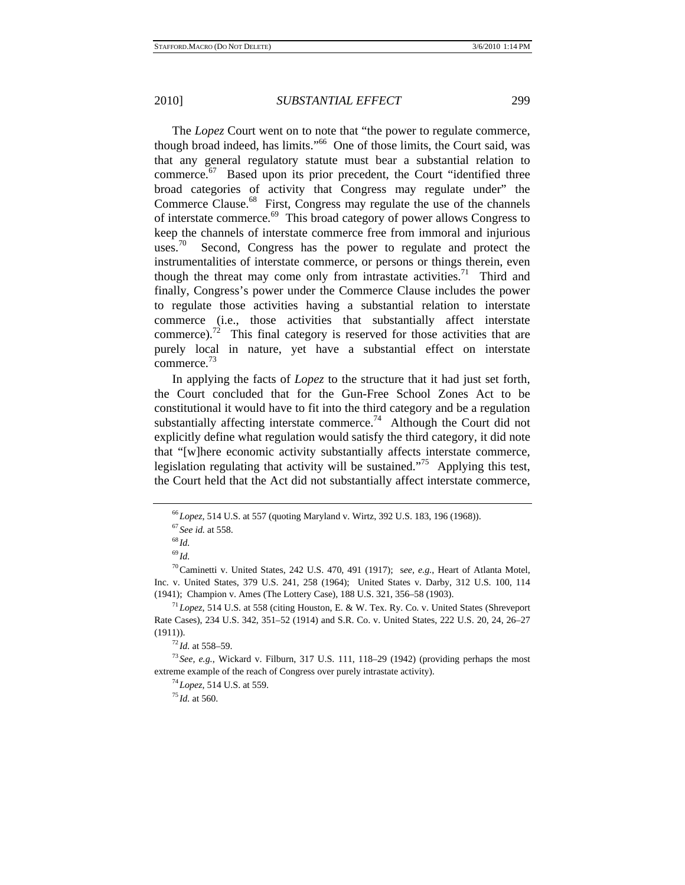The *Lopez* Court went on to note that "the power to regulate commerce, though broad indeed, has limits."66 One of those limits, the Court said, was that any general regulatory statute must bear a substantial relation to commerce. $67$  Based upon its prior precedent, the Court "identified three broad categories of activity that Congress may regulate under" the Commerce Clause.<sup>68</sup> First, Congress may regulate the use of the channels of interstate commerce.69 This broad category of power allows Congress to keep the channels of interstate commerce free from immoral and injurious uses.<sup>70</sup> Second, Congress has the power to regulate and protect the instrumentalities of interstate commerce, or persons or things therein, even though the threat may come only from intrastate activities.<sup>71</sup> Third and finally, Congress's power under the Commerce Clause includes the power to regulate those activities having a substantial relation to interstate commerce (i.e., those activities that substantially affect interstate commerce).<sup>72</sup> This final category is reserved for those activities that are purely local in nature, yet have a substantial effect on interstate commerce.<sup>73</sup>

In applying the facts of *Lopez* to the structure that it had just set forth, the Court concluded that for the Gun-Free School Zones Act to be constitutional it would have to fit into the third category and be a regulation substantially affecting interstate commerce.<sup>74</sup> Although the Court did not explicitly define what regulation would satisfy the third category, it did note that "[w]here economic activity substantially affects interstate commerce, legislation regulating that activity will be sustained."75 Applying this test, the Court held that the Act did not substantially affect interstate commerce,

<sup>66</sup>*Lopez*, 514 U.S. at 557 (quoting Maryland v. Wirtz, 392 U.S. 183, 196 (1968)). 67 *See id.* at 558. 68 *Id.*

<sup>69</sup> *Id.* 70Caminetti v. United States, 242 U.S. 470, 491 (1917); s*ee, e.g.*, Heart of Atlanta Motel, Inc. v. United States, 379 U.S. 241, 258 (1964); United States v. Darby, 312 U.S. 100, 114 (1941); Champion v. Ames (The Lottery Case), 188 U.S. 321, 356–58 (1903). 71*Lopez*, 514 U.S. at 558 (citing Houston, E. & W. Tex. Ry. Co. v. United States (Shreveport

Rate Cases), 234 U.S. 342, 351–52 (1914) and S.R. Co. v. United States, 222 U.S. 20, 24, 26–27 (1911)).<br><sup>72</sup>*Id.* at 558–59.<br><sup>73</sup> *See, e.g.*, Wickard v. Filburn, 317 U.S. 111, 118–29 (1942) (providing perhaps the most

extreme example of the reach of Congress over purely intrastate activity).<br><sup>74</sup>*Lopez*, 514 U.S. at 559. <sup>75</sup>*Id.* at 560.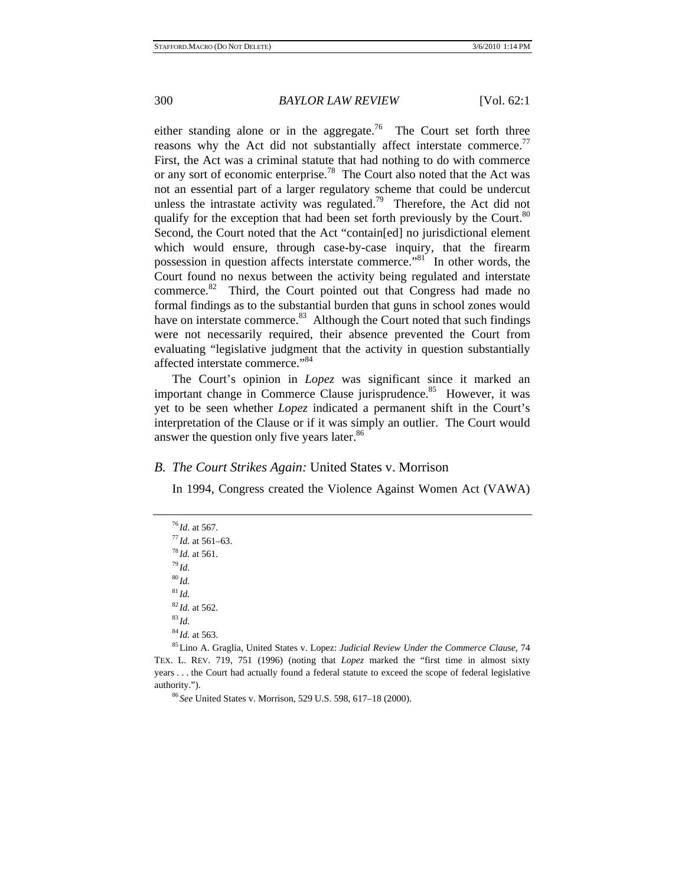either standing alone or in the aggregate.<sup>76</sup> The Court set forth three reasons why the Act did not substantially affect interstate commerce.<sup>77</sup> First, the Act was a criminal statute that had nothing to do with commerce or any sort of economic enterprise.<sup>78</sup> The Court also noted that the Act was not an essential part of a larger regulatory scheme that could be undercut unless the intrastate activity was regulated.<sup>79</sup> Therefore, the Act did not qualify for the exception that had been set forth previously by the Court.<sup>80</sup> Second, the Court noted that the Act "contain[ed] no jurisdictional element which would ensure, through case-by-case inquiry, that the firearm possession in question affects interstate commerce."81 In other words, the Court found no nexus between the activity being regulated and interstate commerce.82 Third, the Court pointed out that Congress had made no formal findings as to the substantial burden that guns in school zones would have on interstate commerce.<sup>83</sup> Although the Court noted that such findings were not necessarily required, their absence prevented the Court from evaluating "legislative judgment that the activity in question substantially affected interstate commerce."84

The Court's opinion in *Lopez* was significant since it marked an important change in Commerce Clause jurisprudence.<sup>85</sup> However, it was yet to be seen whether *Lopez* indicated a permanent shift in the Court's interpretation of the Clause or if it was simply an outlier. The Court would answer the question only five years later.<sup>86</sup>

## *B. The Court Strikes Again:* United States v. Morrison

In 1994, Congress created the Violence Against Women Act (VAWA)

<sup>76</sup> *Id.* at 567. 77 *Id.* at 561–63. 78 *Id.* at 561. 79 *Id.* <sup>80</sup> *Id.*  $^{81}$ *Id.* 

<sup>82</sup> *Id.* at 562.<br><sup>83</sup> *Id.* at 563.<br><sup>84</sup> *Id.* at 563. 84 *Id.* at 563. 85 Lino A. Graglia, United States v. Lopez: *Judicial Review Under the Commerce Clause*, 74 TEX. L. REV. 719, 751 (1996) (noting that *Lopez* marked the "first time in almost sixty years . . . the Court had actually found a federal statute to exceed the scope of federal legislative authority."). 86 *See* United States v. Morrison, 529 U.S. 598, 617–18 (2000).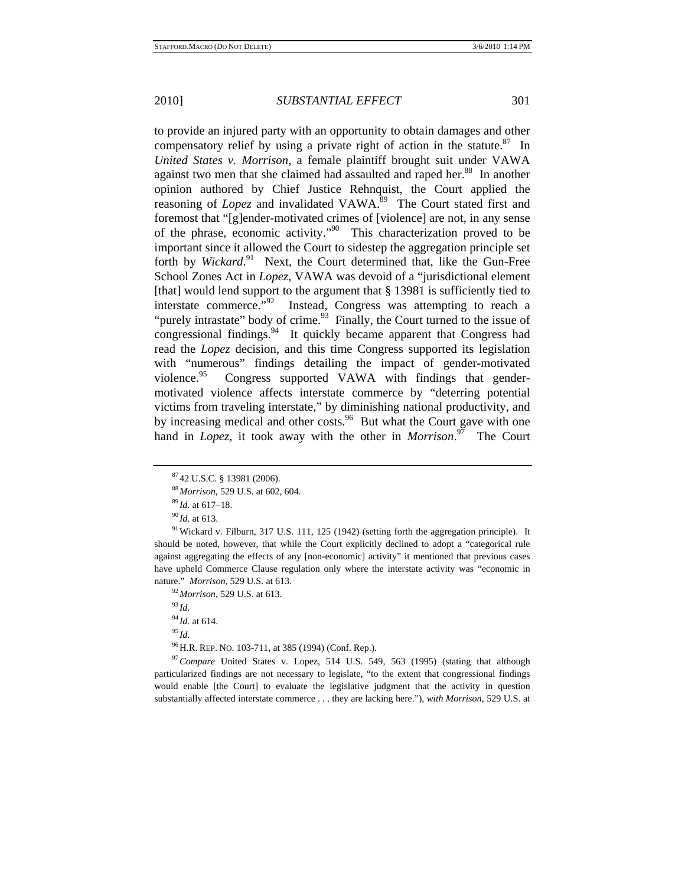to provide an injured party with an opportunity to obtain damages and other compensatory relief by using a private right of action in the statute.<sup>87</sup> In *United States v. Morrison,* a female plaintiff brought suit under VAWA against two men that she claimed had assaulted and raped her.<sup>88</sup> In another opinion authored by Chief Justice Rehnquist, the Court applied the reasoning of *Lopez* and invalidated VAWA.<sup>89</sup> The Court stated first and foremost that "[g]ender-motivated crimes of [violence] are not, in any sense of the phrase, economic activity."90 This characterization proved to be important since it allowed the Court to sidestep the aggregation principle set forth by *Wickard*.<sup>91</sup> Next, the Court determined that, like the Gun-Free School Zones Act in *Lopez*, VAWA was devoid of a "jurisdictional element [that] would lend support to the argument that § 13981 is sufficiently tied to interstate commerce."<sup>92</sup> Instead, Congress was attempting to reach a "purely intrastate" body of crime. $93$  Finally, the Court turned to the issue of congressional findings.<sup>94</sup> It quickly became apparent that Congress had read the *Lopez* decision, and this time Congress supported its legislation with "numerous" findings detailing the impact of gender-motivated violence.<sup>95</sup> Congress supported VAWA with findings that gendermotivated violence affects interstate commerce by "deterring potential victims from traveling interstate," by diminishing national productivity, and by increasing medical and other costs. $96$  But what the Court gave with one hand in *Lopez*, it took away with the other in *Morrison*.<sup>97</sup> The Court

<sup>94</sup> *Id.* at 614. 95 *Id.*

96H.R. REP. NO. 103-711, at 385 (1994) (Conf. Rep.). 97*Compare* United States v. Lopez, 514 U.S. 549, 563 (1995) (stating that although particularized findings are not necessary to legislate, "to the extent that congressional findings would enable [the Court] to evaluate the legislative judgment that the activity in question substantially affected interstate commerce . . . they are lacking here."), *with Morrison*, 529 U.S. at

<sup>87</sup> 42 U.S.C. § 13981 (2006).

<sup>&</sup>lt;sup>88</sup>*Id.* at 617–18.<br><sup>89</sup>*Id.* at 617–18.<br><sup>90</sup>*Id.* at 613.<br><sup>91</sup>Wickard v. Filburn, 317 U.S. 111, 125 (1942) (setting forth the aggregation principle). It should be noted, however, that while the Court explicitly declined to adopt a "categorical rule against aggregating the effects of any [non-economic] activity" it mentioned that previous cases have upheld Commerce Clause regulation only where the interstate activity was "economic in nature." *Morrison,* 529 U.S. at 613. 92*Morrison,* 529 U.S. at 613. 93 *Id.*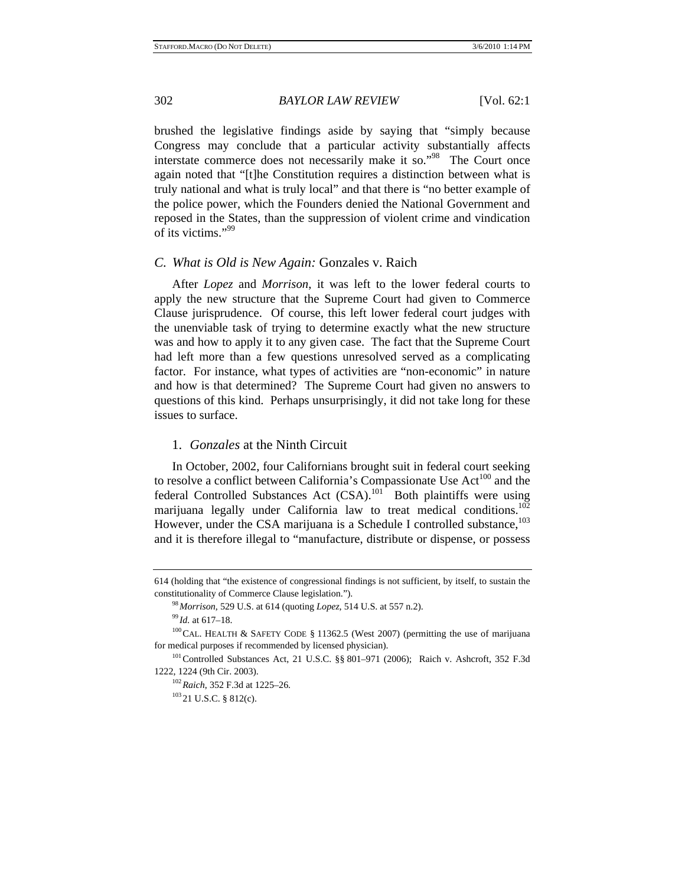brushed the legislative findings aside by saying that "simply because Congress may conclude that a particular activity substantially affects interstate commerce does not necessarily make it so."<sup>98</sup> The Court once again noted that "[t]he Constitution requires a distinction between what is truly national and what is truly local" and that there is "no better example of the police power, which the Founders denied the National Government and reposed in the States, than the suppression of violent crime and vindication of its victims."99

### *C. What is Old is New Again:* Gonzales v. Raich

After *Lopez* and *Morrison*, it was left to the lower federal courts to apply the new structure that the Supreme Court had given to Commerce Clause jurisprudence. Of course, this left lower federal court judges with the unenviable task of trying to determine exactly what the new structure was and how to apply it to any given case. The fact that the Supreme Court had left more than a few questions unresolved served as a complicating factor. For instance, what types of activities are "non-economic" in nature and how is that determined? The Supreme Court had given no answers to questions of this kind. Perhaps unsurprisingly, it did not take long for these issues to surface.

#### 1. *Gonzales* at the Ninth Circuit

In October, 2002, four Californians brought suit in federal court seeking to resolve a conflict between California's Compassionate Use  $Act^{100}$  and the federal Controlled Substances Act  $(CSA)$ .<sup>101</sup> Both plaintiffs were using marijuana legally under California law to treat medical conditions.<sup>102</sup> However, under the CSA marijuana is a Schedule I controlled substance,<sup>103</sup> and it is therefore illegal to "manufacture, distribute or dispense, or possess

<sup>614 (</sup>holding that "the existence of congressional findings is not sufficient, by itself, to sustain the

constitutionality of Commerce Clause legislation.").<br><sup>98</sup> Morrison, 529 U.S. at 614 (quoting *Lopez*, 514 U.S. at 557 n.2).<br><sup>99</sup> Id. at 617–18.<br><sup>100</sup> CAL. HEALTH & SAFETY CODE § 11362.5 (West 2007) (permitting the use of for medical purposes if recommended by licensed physician).<br><sup>101</sup>Controlled Substances Act, 21 U.S.C. §§ 801–971 (2006); Raich v. Ashcroft, 352 F.3d

<sup>1222, 1224 (9</sup>th Cir. 2003). 102*Raich*, 352 F.3d at 1225–26. 103 21 U.S.C. § 812(c).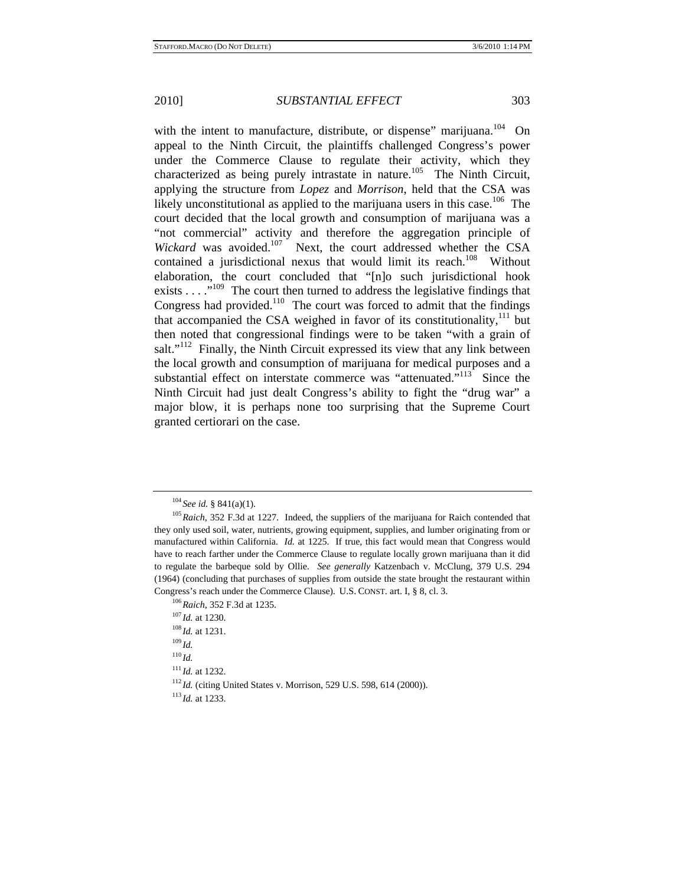with the intent to manufacture, distribute, or dispense" marijuana.<sup>104</sup> On appeal to the Ninth Circuit, the plaintiffs challenged Congress's power under the Commerce Clause to regulate their activity, which they characterized as being purely intrastate in nature.<sup>105</sup> The Ninth Circuit, applying the structure from *Lopez* and *Morrison*, held that the CSA was likely unconstitutional as applied to the marijuana users in this case.<sup>106</sup> The court decided that the local growth and consumption of marijuana was a "not commercial" activity and therefore the aggregation principle of Wickard was avoided.<sup>107</sup> Next, the court addressed whether the CSA contained a jurisdictional nexus that would limit its reach.<sup>108</sup> Without elaboration, the court concluded that "[n]o such jurisdictional hook exists  $\dots$   $\cdot$ <sup>109</sup>. The court then turned to address the legislative findings that Congress had provided.<sup>110</sup> The court was forced to admit that the findings that accompanied the CSA weighed in favor of its constitutionality, $111$  but then noted that congressional findings were to be taken "with a grain of salt."<sup>112</sup> Finally, the Ninth Circuit expressed its view that any link between the local growth and consumption of marijuana for medical purposes and a substantial effect on interstate commerce was "attenuated."<sup>113</sup> Since the Ninth Circuit had just dealt Congress's ability to fight the "drug war" a major blow, it is perhaps none too surprising that the Supreme Court granted certiorari on the case.

<sup>&</sup>lt;sup>104</sup> *See id.* § 841(a)(1).<br><sup>105</sup> *Raich*, 352 F.3d at 1227. Indeed, the suppliers of the marijuana for Raich contended that they only used soil, water, nutrients, growing equipment, supplies, and lumber originating from or manufactured within California. *Id.* at 1225. If true, this fact would mean that Congress would have to reach farther under the Commerce Clause to regulate locally grown marijuana than it did to regulate the barbeque sold by Ollie. *See generally* Katzenbach v. McClung, 379 U.S. 294 (1964) (concluding that purchases of supplies from outside the state brought the restaurant within

Congress's reach under the Commerce Clause). U.S. CONST. art. I, § 8, cl. 3.<br><sup>106</sup>*Raich*, 352 F.3d at 1235.<br><sup>107</sup>*Id.* at 1230.<br><sup>108</sup>*Id.* at 1231.<br><sup>110</sup>*Id.*<br><sup>110</sup>*Id.* <sup>111</sup> *Id.* at 1232. 112 *Id.* (citing United States v. Morrison, 529 U.S. 598, 614 (2000)). 113 *Id.* at 1233.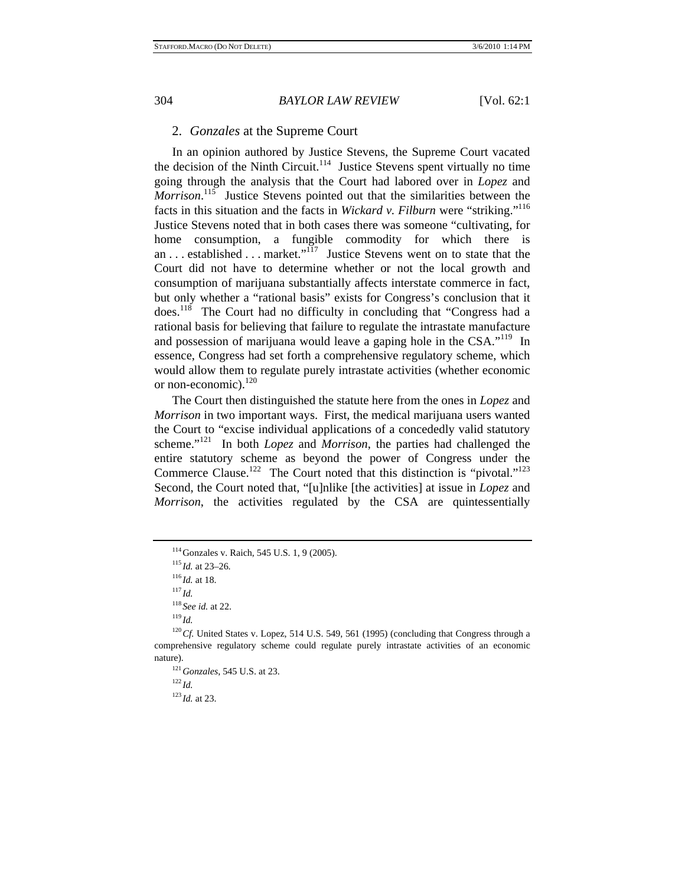## 2. *Gonzales* at the Supreme Court

In an opinion authored by Justice Stevens, the Supreme Court vacated the decision of the Ninth Circuit.<sup>114</sup> Justice Stevens spent virtually no time going through the analysis that the Court had labored over in *Lopez* and Morrison.<sup>115</sup> Justice Stevens pointed out that the similarities between the facts in this situation and the facts in *Wickard v. Filburn* were "striking."116 Justice Stevens noted that in both cases there was someone "cultivating, for home consumption, a fungible commodity for which there is an . . . established . . . market."117 Justice Stevens went on to state that the Court did not have to determine whether or not the local growth and consumption of marijuana substantially affects interstate commerce in fact, but only whether a "rational basis" exists for Congress's conclusion that it does.118 The Court had no difficulty in concluding that "Congress had a rational basis for believing that failure to regulate the intrastate manufacture and possession of marijuana would leave a gaping hole in the CSA."119 In essence, Congress had set forth a comprehensive regulatory scheme, which would allow them to regulate purely intrastate activities (whether economic or non-economic).<sup>120</sup>

The Court then distinguished the statute here from the ones in *Lopez* and *Morrison* in two important ways. First, the medical marijuana users wanted the Court to "excise individual applications of a concededly valid statutory scheme."121 In both *Lopez* and *Morrison*, the parties had challenged the entire statutory scheme as beyond the power of Congress under the Commerce Clause.<sup>122</sup> The Court noted that this distinction is "pivotal."<sup>123</sup> Second, the Court noted that, "[u]nlike [the activities] at issue in *Lopez* and *Morrison*, the activities regulated by the CSA are quintessentially

<sup>114</sup>Gonzales v. Raich, 545 U.S. 1, 9 (2005). 115 *Id.* at 23–26. 116 *Id.* at 18. 117 *Id.*

<sup>118</sup> *See id.* at 22. 119 *Id.* 

<sup>&</sup>lt;sup>120</sup> Cf. United States v. Lopez, 514 U.S. 549, 561 (1995) (concluding that Congress through a comprehensive regulatory scheme could regulate purely intrastate activities of an economic nature).<br><sup>121</sup>*Gonzales*, 545 U.S. at 23.<br><sup>122</sup>*Id.* 

<sup>123</sup> *Id.* at 23.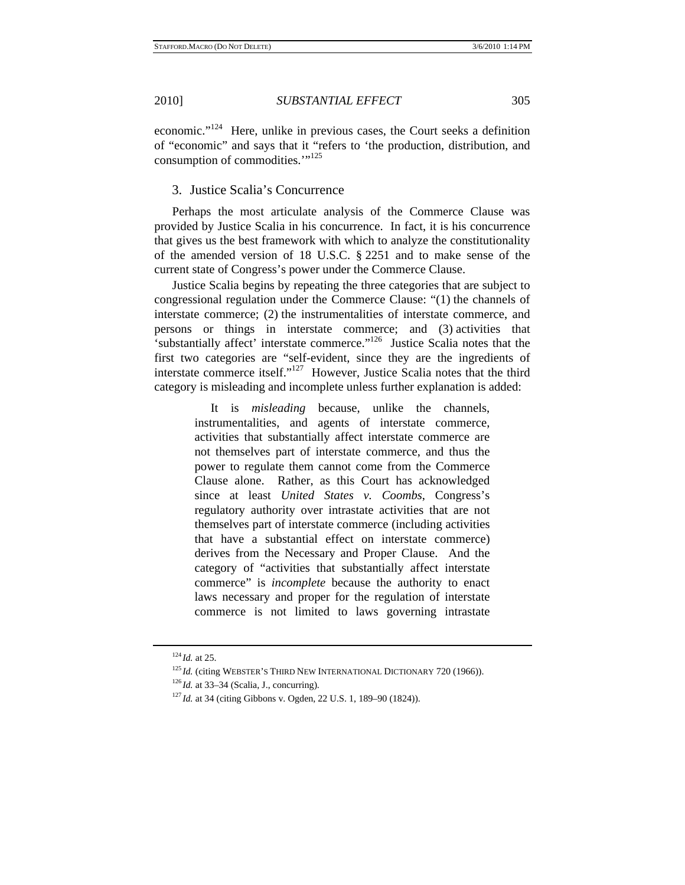economic."124 Here, unlike in previous cases, the Court seeks a definition of "economic" and says that it "refers to 'the production, distribution, and consumption of commodities."<sup>125</sup>

3. Justice Scalia's Concurrence

Perhaps the most articulate analysis of the Commerce Clause was provided by Justice Scalia in his concurrence. In fact, it is his concurrence that gives us the best framework with which to analyze the constitutionality of the amended version of 18 U.S.C. § 2251 and to make sense of the current state of Congress's power under the Commerce Clause.

Justice Scalia begins by repeating the three categories that are subject to congressional regulation under the Commerce Clause: "(1) the channels of interstate commerce; (2) the instrumentalities of interstate commerce, and persons or things in interstate commerce; and (3) activities that 'substantially affect' interstate commerce."126 Justice Scalia notes that the first two categories are "self-evident, since they are the ingredients of interstate commerce itself."<sup>127</sup> However, Justice Scalia notes that the third category is misleading and incomplete unless further explanation is added:

> It is *misleading* because, unlike the channels, instrumentalities, and agents of interstate commerce, activities that substantially affect interstate commerce are not themselves part of interstate commerce, and thus the power to regulate them cannot come from the Commerce Clause alone. Rather, as this Court has acknowledged since at least *United States v. Coombs*, Congress's regulatory authority over intrastate activities that are not themselves part of interstate commerce (including activities that have a substantial effect on interstate commerce) derives from the Necessary and Proper Clause. And the category of "activities that substantially affect interstate commerce" is *incomplete* because the authority to enact laws necessary and proper for the regulation of interstate commerce is not limited to laws governing intrastate

<sup>&</sup>lt;sup>124</sup>Id. at 25.<br><sup>125</sup>Id. (citing WEBSTER'S THIRD NEW INTERNATIONAL DICTIONARY 720 (1966)).<br><sup>126</sup>Id. at 33–34 (Scalia, J., concurring).<br><sup>126</sup>Id. at 34 (citing Gibbons v. Ogden, 22 U.S. 1, 189–90 (1824)).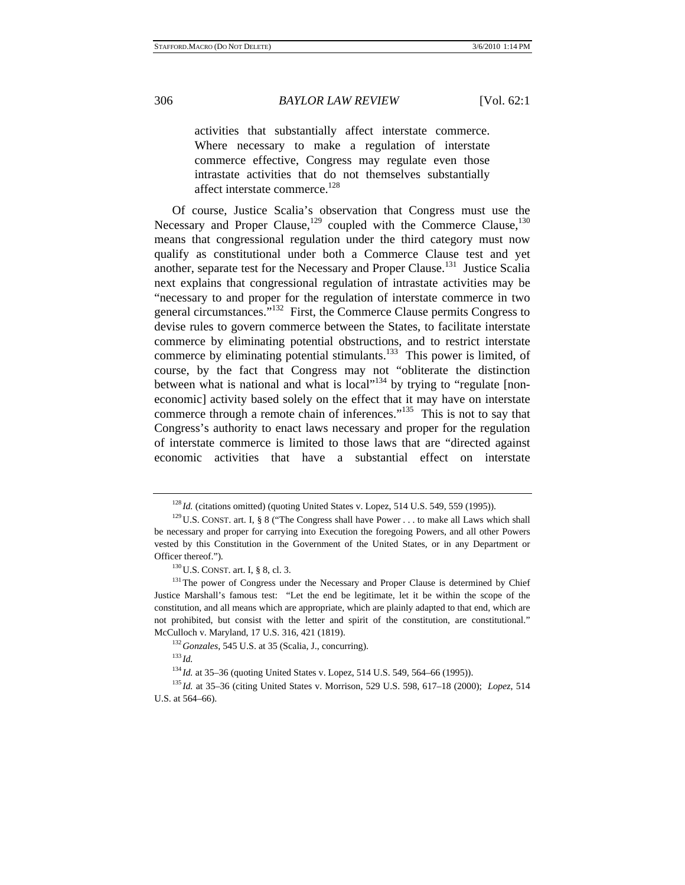activities that substantially affect interstate commerce. Where necessary to make a regulation of interstate commerce effective, Congress may regulate even those intrastate activities that do not themselves substantially affect interstate commerce.<sup>128</sup>

Of course, Justice Scalia's observation that Congress must use the Necessary and Proper Clause,<sup>129</sup> coupled with the Commerce Clause,<sup>130</sup> means that congressional regulation under the third category must now qualify as constitutional under both a Commerce Clause test and yet another, separate test for the Necessary and Proper Clause.<sup>131</sup> Justice Scalia next explains that congressional regulation of intrastate activities may be "necessary to and proper for the regulation of interstate commerce in two general circumstances."132 First, the Commerce Clause permits Congress to devise rules to govern commerce between the States, to facilitate interstate commerce by eliminating potential obstructions, and to restrict interstate commerce by eliminating potential stimulants. $133$  This power is limited, of course, by the fact that Congress may not "obliterate the distinction between what is national and what is local"<sup>134</sup> by trying to "regulate [noneconomic] activity based solely on the effect that it may have on interstate commerce through a remote chain of inferences."<sup>135</sup> This is not to say that Congress's authority to enact laws necessary and proper for the regulation of interstate commerce is limited to those laws that are "directed against economic activities that have a substantial effect on interstate

<sup>&</sup>lt;sup>128</sup> *Id.* (citations omitted) (quoting United States v. Lopez, 514 U.S. 549, 559 (1995)). <sup>129</sup> U.S. CONST. art. I, § 8 ("The Congress shall have Power . . . to make all Laws which shall be necessary and proper for carrying into Execution the foregoing Powers, and all other Powers vested by this Constitution in the Government of the United States, or in any Department or

Officer thereof.").<br><sup>130</sup>U.S. CONST. art. I, § 8, cl. 3.<br><sup>131</sup>The power of Congress under the Necessary and Proper Clause is determined by Chief Justice Marshall's famous test: "Let the end be legitimate, let it be within the scope of the constitution, and all means which are appropriate, which are plainly adapted to that end, which are not prohibited, but consist with the letter and spirit of the constitution, are constitutional." McCulloch v. Maryland, 17 U.S. 316, 421 (1819). 132*Gonzales*, 545 U.S. at 35 (Scalia, J., concurring). 133 *Id.*

<sup>&</sup>lt;sup>134</sup> *Id.* at 35–36 (quoting United States v. Lopez, 514 U.S. 549, 564–66 (1995)).<br><sup>135</sup> *Id.* at 35–36 (citing United States v. Morrison, 529 U.S. 598, 617–18 (2000); *Lopez*, 514

U.S. at 564–66).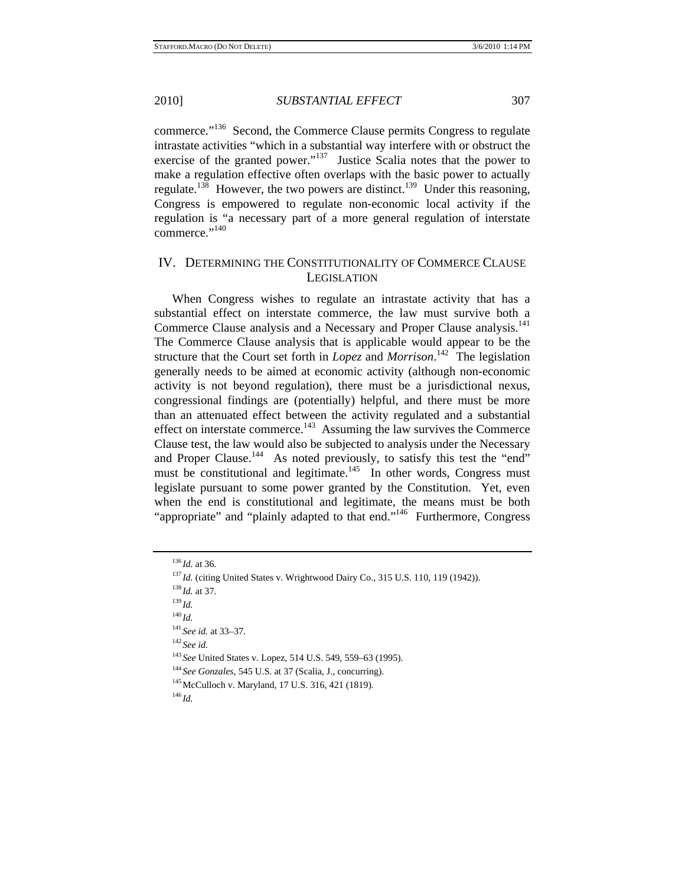commerce."136 Second, the Commerce Clause permits Congress to regulate intrastate activities "which in a substantial way interfere with or obstruct the exercise of the granted power."<sup>137</sup> Justice Scalia notes that the power to make a regulation effective often overlaps with the basic power to actually regulate.<sup>138</sup> However, the two powers are distinct.<sup>139</sup> Under this reasoning, Congress is empowered to regulate non-economic local activity if the regulation is "a necessary part of a more general regulation of interstate commerce."<sup>140</sup>

## IV. DETERMINING THE CONSTITUTIONALITY OF COMMERCE CLAUSE LEGISLATION

When Congress wishes to regulate an intrastate activity that has a substantial effect on interstate commerce, the law must survive both a Commerce Clause analysis and a Necessary and Proper Clause analysis.<sup>141</sup> The Commerce Clause analysis that is applicable would appear to be the structure that the Court set forth in *Lopez* and *Morrison*. 142 The legislation generally needs to be aimed at economic activity (although non-economic activity is not beyond regulation), there must be a jurisdictional nexus, congressional findings are (potentially) helpful, and there must be more than an attenuated effect between the activity regulated and a substantial effect on interstate commerce.<sup>143</sup> Assuming the law survives the Commerce Clause test, the law would also be subjected to analysis under the Necessary and Proper Clause.<sup>144</sup> As noted previously, to satisfy this test the "end" must be constitutional and legitimate.<sup>145</sup> In other words, Congress must legislate pursuant to some power granted by the Constitution. Yet, even when the end is constitutional and legitimate, the means must be both "appropriate" and "plainly adapted to that end."<sup>146</sup> Furthermore, Congress

<sup>140</sup> *Id.*

<sup>143</sup> *See United States v. Lopez, 514 U.S. 549, 559–63 (1995).* <sup>144</sup> *See Gonzales, 545 U.S. at 37 (Scalia, J., concurring).* <sup>145</sup> *McCulloch v. Maryland, 17 U.S. 316, 421 (1819).* <sup>146</sup> *Id.* 

<sup>&</sup>lt;sup>136</sup>*Id.* at 36. 137 *Id.* (citing United States v. Wrightwood Dairy Co., 315 U.S. 110, 119 (1942)). <sup>138</sup>*Id.* at 37. <sup>139</sup>*Id.* 

<sup>141</sup> *See id.* at 33–37. 142 *See id.*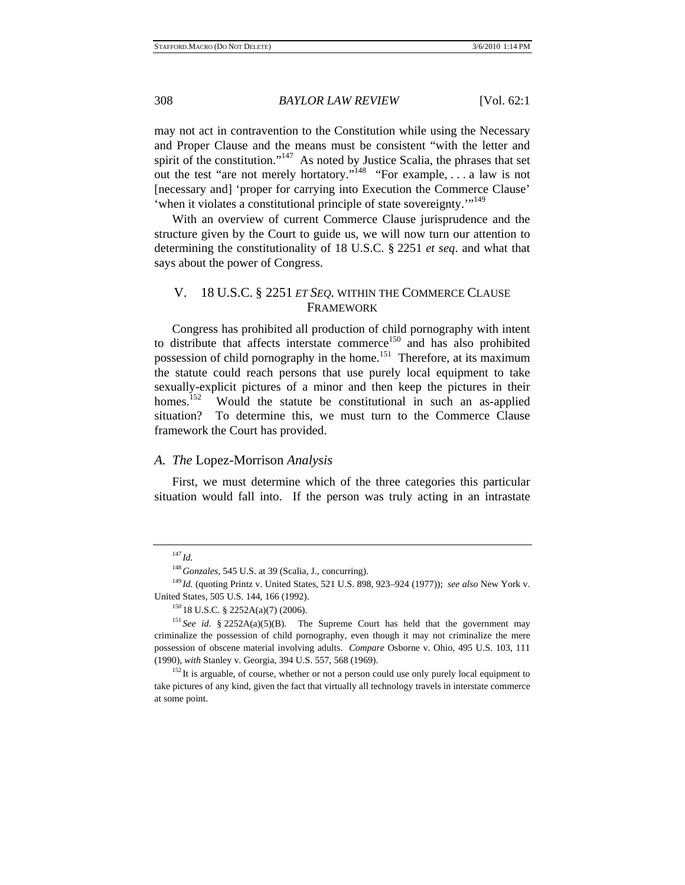may not act in contravention to the Constitution while using the Necessary and Proper Clause and the means must be consistent "with the letter and spirit of the constitution."<sup>147</sup> As noted by Justice Scalia, the phrases that set out the test "are not merely hortatory."148 "For example, . . . a law is not [necessary and] 'proper for carrying into Execution the Commerce Clause' 'when it violates a constitutional principle of state sovereignty."<sup>149</sup>

With an overview of current Commerce Clause jurisprudence and the structure given by the Court to guide us, we will now turn our attention to determining the constitutionality of 18 U.S.C. § 2251 *et seq*. and what that says about the power of Congress.

## V. 18 U.S.C. § 2251 *ET SEQ.* WITHIN THE COMMERCE CLAUSE FRAMEWORK

Congress has prohibited all production of child pornography with intent to distribute that affects interstate commerce<sup>150</sup> and has also prohibited possession of child pornography in the home.<sup>151</sup> Therefore, at its maximum the statute could reach persons that use purely local equipment to take sexually-explicit pictures of a minor and then keep the pictures in their homes.<sup>152</sup> Would the statute be constitutional in such an as-anolied Would the statute be constitutional in such an as-applied situation? To determine this, we must turn to the Commerce Clause framework the Court has provided.

## *A. The* Lopez*-*Morrison *Analysis*

First, we must determine which of the three categories this particular situation would fall into. If the person was truly acting in an intrastate

<sup>147</sup> *Id.*

<sup>&</sup>lt;sup>148</sup> Gonzales, 545 U.S. at 39 (Scalia, J., concurring).<br><sup>149</sup> Id. (quoting Printz v. United States, 521 U.S. 898, 923–924 (1977)); *see also* New York v. United States, 505 U.S. 144, 166 (1992).<br><sup>150</sup> 18 U.S.C. § 2252A(a)(7) (2006).<br><sup>151</sup> *See id.* § 2252A(a)(5)(B). The Supreme Court has held that the government may

criminalize the possession of child pornography, even though it may not criminalize the mere possession of obscene material involving adults. *Compare* Osborne v. Ohio, 495 U.S. 103, 111 (1990), *with* Stanley v. Georgia, 394 U.S. 557, 568 (1969).<br><sup>152</sup> It is arguable, of course, whether or not a person could use only purely local equipment to

take pictures of any kind, given the fact that virtually all technology travels in interstate commerce at some point.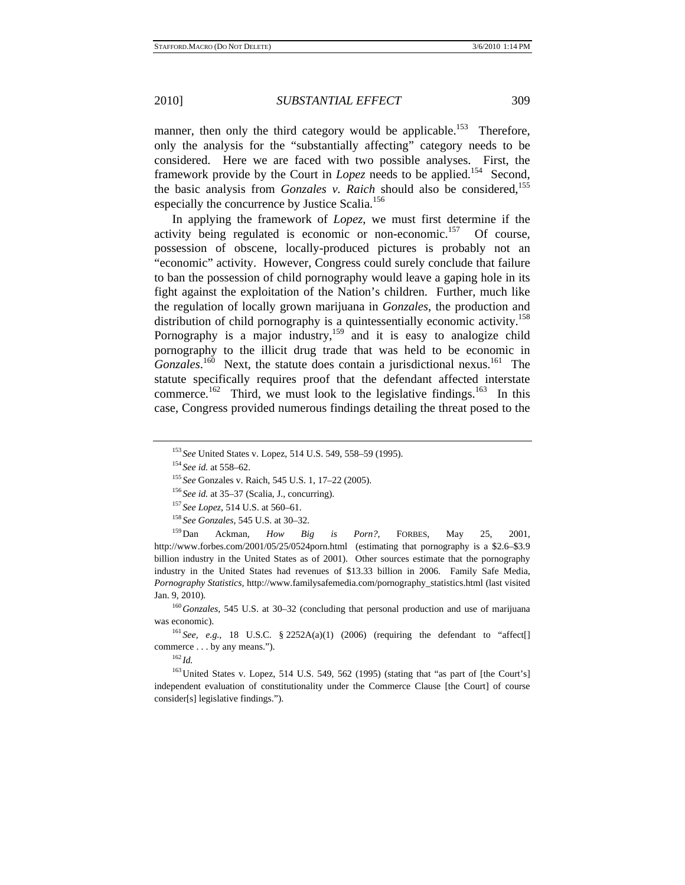manner, then only the third category would be applicable.<sup>153</sup> Therefore, only the analysis for the "substantially affecting" category needs to be considered. Here we are faced with two possible analyses. First, the framework provide by the Court in *Lopez* needs to be applied.<sup>154</sup> Second, the basic analysis from *Gonzales v. Raich* should also be considered,<sup>155</sup> especially the concurrence by Justice Scalia.<sup>156</sup>

In applying the framework of *Lopez*, we must first determine if the activity being regulated is economic or non-economic.157 Of course, possession of obscene, locally-produced pictures is probably not an "economic" activity. However, Congress could surely conclude that failure to ban the possession of child pornography would leave a gaping hole in its fight against the exploitation of the Nation's children. Further, much like the regulation of locally grown marijuana in *Gonzales*, the production and distribution of child pornography is a quintessentially economic activity.<sup>158</sup> Pornography is a major industry,<sup>159</sup> and it is easy to analogize child pornography to the illicit drug trade that was held to be economic in Gonzales.<sup>160</sup> Next, the statute does contain a jurisdictional nexus.<sup>161</sup> The statute specifically requires proof that the defendant affected interstate commerce.<sup>162</sup> Third, we must look to the legislative findings.<sup>163</sup> In this case, Congress provided numerous findings detailing the threat posed to the

was economic).<br><sup>161</sup> *See, e.g.*, 18 U.S.C. § 2252A(a)(1) (2006) (requiring the defendant to "affect[]

commerce . . . by any means.").<br> $^{162}Id$ .

<sup>&</sup>lt;sup>153</sup> See United States v. Lopez, 514 U.S. 549, 558–59 (1995).<br>
<sup>154</sup> See id. at 558–62.<br>
<sup>155</sup> See Gonzales v. Raich, 545 U.S. 1, 17–22 (2005).<br>
<sup>156</sup> See id. at 35–37 (Scalia, J., concurring).<br>
<sup>157</sup> See Lopez, 514 U.S. http://www.forbes.com/2001/05/25/0524porn.html (estimating that pornography is a \$2.6–\$3.9 billion industry in the United States as of 2001). Other sources estimate that the pornography industry in the United States had revenues of \$13.33 billion in 2006. Family Safe Media, *Pornography Statistics,* http://www.familysafemedia.com/pornography\_statistics.html (last visited Jan. 9, 2010). 160*Gonzales*, 545 U.S. at 30–32 (concluding that personal production and use of marijuana

<sup>&</sup>lt;sup>163</sup> United States v. Lopez, 514 U.S. 549, 562 (1995) (stating that "as part of [the Court's] independent evaluation of constitutionality under the Commerce Clause [the Court] of course consider[s] legislative findings.").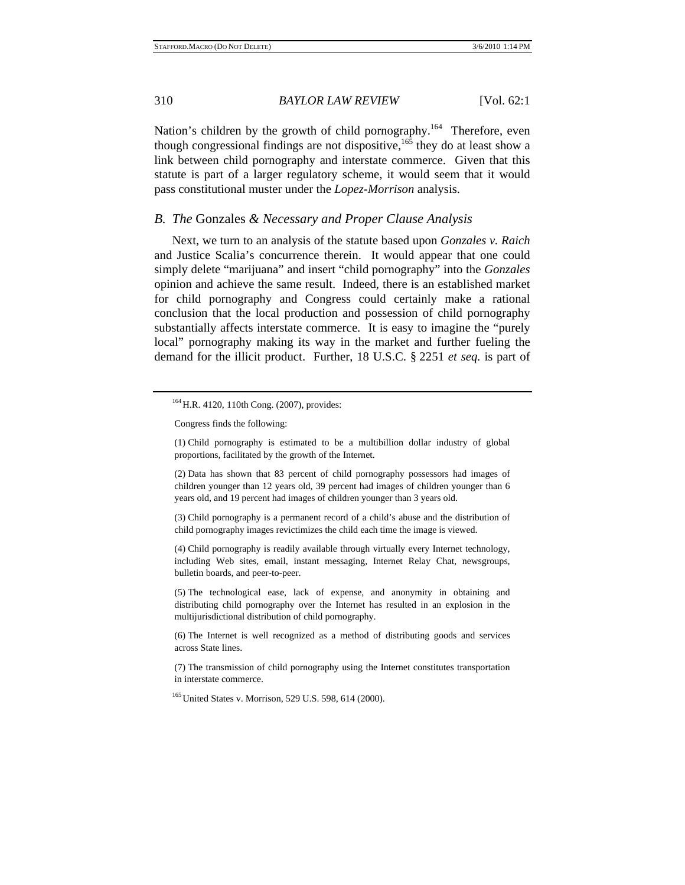Nation's children by the growth of child pornography.<sup>164</sup> Therefore, even though congressional findings are not dispositive,  $165$  they do at least show a link between child pornography and interstate commerce. Given that this statute is part of a larger regulatory scheme, it would seem that it would pass constitutional muster under the *Lopez*-*Morrison* analysis.

#### *B. The* Gonzales *& Necessary and Proper Clause Analysis*

Next, we turn to an analysis of the statute based upon *Gonzales v. Raich* and Justice Scalia's concurrence therein. It would appear that one could simply delete "marijuana" and insert "child pornography" into the *Gonzales* opinion and achieve the same result. Indeed, there is an established market for child pornography and Congress could certainly make a rational conclusion that the local production and possession of child pornography substantially affects interstate commerce. It is easy to imagine the "purely local" pornography making its way in the market and further fueling the demand for the illicit product. Further, 18 U.S.C. § 2251 *et seq.* is part of

(2) Data has shown that 83 percent of child pornography possessors had images of children younger than 12 years old, 39 percent had images of children younger than 6 years old, and 19 percent had images of children younger than 3 years old.

(3) Child pornography is a permanent record of a child's abuse and the distribution of child pornography images revictimizes the child each time the image is viewed.

(4) Child pornography is readily available through virtually every Internet technology, including Web sites, email, instant messaging, Internet Relay Chat, newsgroups, bulletin boards, and peer-to-peer.

(5) The technological ease, lack of expense, and anonymity in obtaining and distributing child pornography over the Internet has resulted in an explosion in the multijurisdictional distribution of child pornography.

(6) The Internet is well recognized as a method of distributing goods and services across State lines.

(7) The transmission of child pornography using the Internet constitutes transportation in interstate commerce.

<sup>165</sup> United States v. Morrison, 529 U.S. 598, 614 (2000).

<sup>&</sup>lt;sup>164</sup> H.R. 4120, 110th Cong. (2007), provides:

Congress finds the following:

<sup>(1)</sup> Child pornography is estimated to be a multibillion dollar industry of global proportions, facilitated by the growth of the Internet.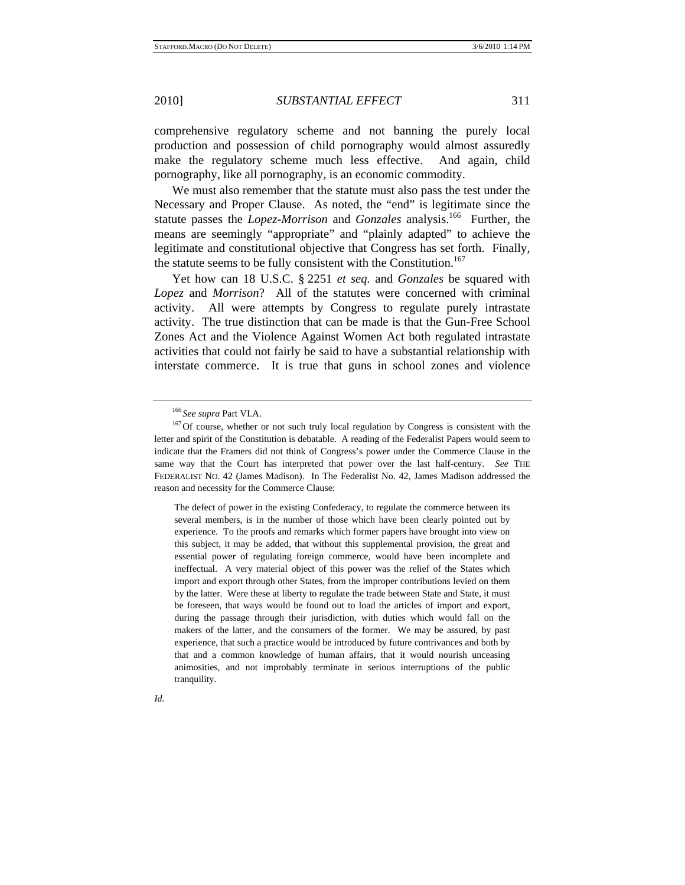comprehensive regulatory scheme and not banning the purely local production and possession of child pornography would almost assuredly make the regulatory scheme much less effective. And again, child pornography, like all pornography, is an economic commodity.

We must also remember that the statute must also pass the test under the Necessary and Proper Clause. As noted, the "end" is legitimate since the statute passes the *Lopez-Morrison* and *Gonzales* analysis.<sup>166</sup> Further, the means are seemingly "appropriate" and "plainly adapted" to achieve the legitimate and constitutional objective that Congress has set forth. Finally, the statute seems to be fully consistent with the Constitution.<sup>167</sup>

Yet how can 18 U.S.C. § 2251 *et seq.* and *Gonzales* be squared with *Lopez* and *Morrison*? All of the statutes were concerned with criminal activity. All were attempts by Congress to regulate purely intrastate activity. The true distinction that can be made is that the Gun-Free School Zones Act and the Violence Against Women Act both regulated intrastate activities that could not fairly be said to have a substantial relationship with interstate commerce. It is true that guns in school zones and violence

The defect of power in the existing Confederacy, to regulate the commerce between its several members, is in the number of those which have been clearly pointed out by experience. To the proofs and remarks which former papers have brought into view on this subject, it may be added, that without this supplemental provision, the great and essential power of regulating foreign commerce, would have been incomplete and ineffectual. A very material object of this power was the relief of the States which import and export through other States, from the improper contributions levied on them by the latter. Were these at liberty to regulate the trade between State and State, it must be foreseen, that ways would be found out to load the articles of import and export, during the passage through their jurisdiction, with duties which would fall on the makers of the latter, and the consumers of the former. We may be assured, by past experience, that such a practice would be introduced by future contrivances and both by that and a common knowledge of human affairs, that it would nourish unceasing animosities, and not improbably terminate in serious interruptions of the public tranquility.



<sup>&</sup>lt;sup>166</sup> See supra Part VI.A.<br><sup>167</sup>Of course, whether or not such truly local regulation by Congress is consistent with the letter and spirit of the Constitution is debatable. A reading of the Federalist Papers would seem to indicate that the Framers did not think of Congress's power under the Commerce Clause in the same way that the Court has interpreted that power over the last half-century. *See* THE FEDERALIST NO. 42 (James Madison). In The Federalist No. 42, James Madison addressed the reason and necessity for the Commerce Clause: